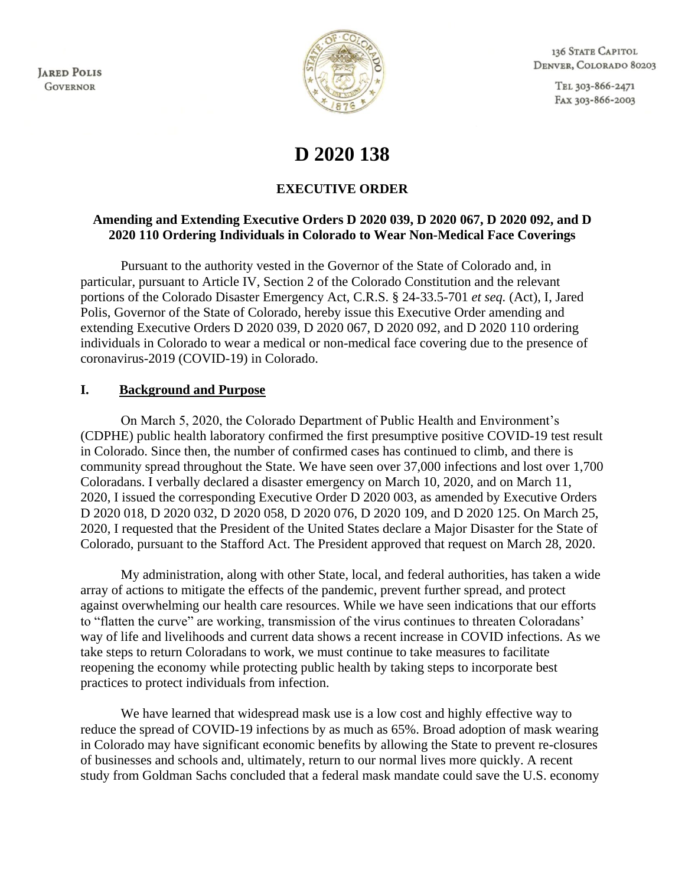**JARED POLIS GOVERNOR** 



136 STATE CAPITOL DENVER, COLORADO 80203

> TEL 303-866-2471 FAX 303-866-2003

# **D 2020 138**

## **EXECUTIVE ORDER**

### **Amending and Extending Executive Orders D 2020 039, D 2020 067, D 2020 092, and D 2020 110 Ordering Individuals in Colorado to Wear Non-Medical Face Coverings**

Pursuant to the authority vested in the Governor of the State of Colorado and, in particular, pursuant to Article IV, Section 2 of the Colorado Constitution and the relevant portions of the Colorado Disaster Emergency Act, C.R.S. § 24-33.5-701 *et seq.* (Act), I, Jared Polis, Governor of the State of Colorado, hereby issue this Executive Order amending and extending Executive Orders D 2020 039, D 2020 067, D 2020 092, and D 2020 110 ordering individuals in Colorado to wear a medical or non-medical face covering due to the presence of coronavirus-2019 (COVID-19) in Colorado.

#### **I. Background and Purpose**

On March 5, 2020, the Colorado Department of Public Health and Environment's (CDPHE) public health laboratory confirmed the first presumptive positive COVID-19 test result in Colorado. Since then, the number of confirmed cases has continued to climb, and there is community spread throughout the State. We have seen over 37,000 infections and lost over 1,700 Coloradans. I verbally declared a disaster emergency on March 10, 2020, and on March 11, 2020, I issued the corresponding Executive Order D 2020 003, as amended by Executive Orders D 2020 018, D 2020 032, D 2020 058, D 2020 076, D 2020 109, and D 2020 125. On March 25, 2020, I requested that the President of the United States declare a Major Disaster for the State of Colorado, pursuant to the Stafford Act. The President approved that request on March 28, 2020.

My administration, along with other State, local, and federal authorities, has taken a wide array of actions to mitigate the effects of the pandemic, prevent further spread, and protect against overwhelming our health care resources. While we have seen indications that our efforts to "flatten the curve" are working, transmission of the virus continues to threaten Coloradans' way of life and livelihoods and current data shows a recent increase in COVID infections. As we take steps to return Coloradans to work, we must continue to take measures to facilitate reopening the economy while protecting public health by taking steps to incorporate best practices to protect individuals from infection.

We have learned that widespread mask use is a low cost and highly effective way to reduce the spread of COVID-19 infections by as much as 65%. Broad adoption of mask wearing in Colorado may have significant economic benefits by allowing the State to prevent re-closures of businesses and schools and, ultimately, return to our normal lives more quickly. A recent study from Goldman Sachs concluded that a federal mask mandate could save the U.S. economy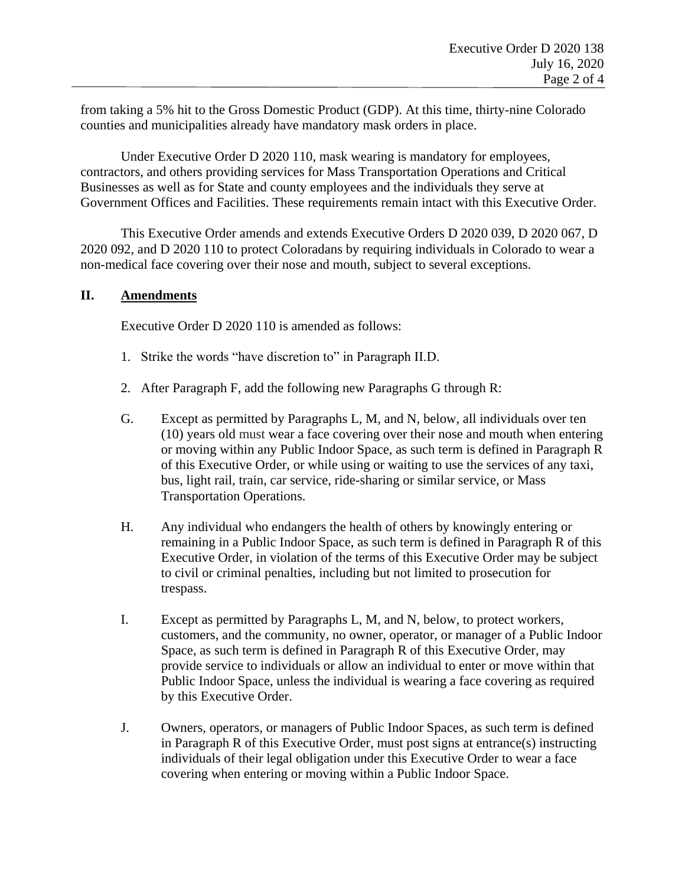from taking a 5% hit to the Gross Domestic Product (GDP). At this time, thirty-nine Colorado counties and municipalities already have mandatory mask orders in place.

Under Executive Order D 2020 110, mask wearing is mandatory for employees, contractors, and others providing services for Mass Transportation Operations and Critical Businesses as well as for State and county employees and the individuals they serve at Government Offices and Facilities. These requirements remain intact with this Executive Order.

This Executive Order amends and extends Executive Orders D 2020 039, D 2020 067, D 2020 092, and D 2020 110 to protect Coloradans by requiring individuals in Colorado to wear a non-medical face covering over their nose and mouth, subject to several exceptions.

#### **II. Amendments**

Executive Order D 2020 110 is amended as follows:

- 1. Strike the words "have discretion to" in Paragraph II.D.
- 2. After Paragraph F, add the following new Paragraphs G through R:
- G. Except as permitted by Paragraphs L, M, and N, below, all individuals over ten (10) years old must wear a face covering over their nose and mouth when entering or moving within any Public Indoor Space, as such term is defined in Paragraph R of this Executive Order, or while using or waiting to use the services of any taxi, bus, light rail, train, car service, ride-sharing or similar service, or Mass Transportation Operations.
- H. Any individual who endangers the health of others by knowingly entering or remaining in a Public Indoor Space, as such term is defined in Paragraph R of this Executive Order, in violation of the terms of this Executive Order may be subject to civil or criminal penalties, including but not limited to prosecution for trespass.
- I. Except as permitted by Paragraphs L, M, and N, below, to protect workers, customers, and the community, no owner, operator, or manager of a Public Indoor Space, as such term is defined in Paragraph R of this Executive Order, may provide service to individuals or allow an individual to enter or move within that Public Indoor Space, unless the individual is wearing a face covering as required by this Executive Order.
- J. Owners, operators, or managers of Public Indoor Spaces, as such term is defined in Paragraph R of this Executive Order, must post signs at entrance(s) instructing individuals of their legal obligation under this Executive Order to wear a face covering when entering or moving within a Public Indoor Space.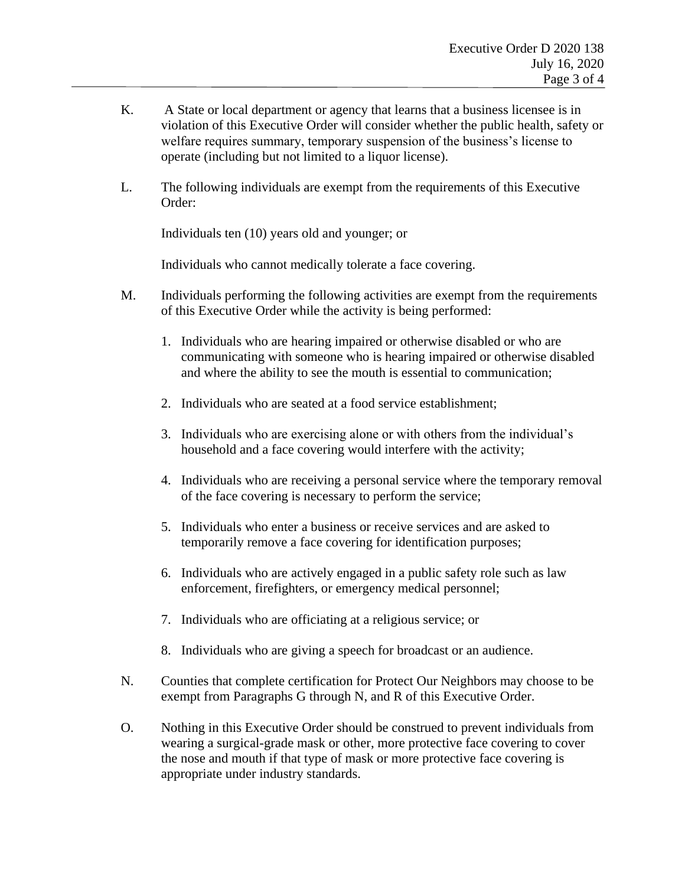- K. A State or local department or agency that learns that a business licensee is in violation of this Executive Order will consider whether the public health, safety or welfare requires summary, temporary suspension of the business's license to operate (including but not limited to a liquor license).
- L. The following individuals are exempt from the requirements of this Executive Order:

Individuals ten (10) years old and younger; or

Individuals who cannot medically tolerate a face covering.

- M. Individuals performing the following activities are exempt from the requirements of this Executive Order while the activity is being performed:
	- 1. Individuals who are hearing impaired or otherwise disabled or who are communicating with someone who is hearing impaired or otherwise disabled and where the ability to see the mouth is essential to communication;
	- 2. Individuals who are seated at a food service establishment;
	- 3. Individuals who are exercising alone or with others from the individual's household and a face covering would interfere with the activity;
	- 4. Individuals who are receiving a personal service where the temporary removal of the face covering is necessary to perform the service;
	- 5. Individuals who enter a business or receive services and are asked to temporarily remove a face covering for identification purposes;
	- 6. Individuals who are actively engaged in a public safety role such as law enforcement, firefighters, or emergency medical personnel;
	- 7. Individuals who are officiating at a religious service; or
	- 8. Individuals who are giving a speech for broadcast or an audience.
- N. Counties that complete certification for Protect Our Neighbors may choose to be exempt from Paragraphs G through N, and R of this Executive Order.
- O. Nothing in this Executive Order should be construed to prevent individuals from wearing a surgical-grade mask or other, more protective face covering to cover the nose and mouth if that type of mask or more protective face covering is appropriate under industry standards.